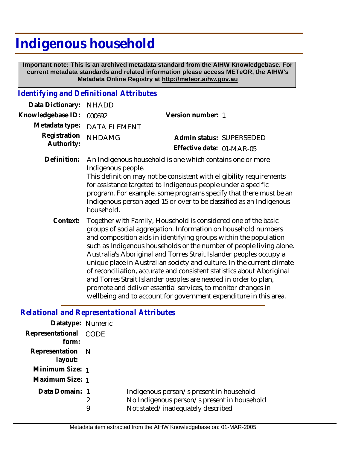## **Indigenous household**

 **Important note: This is an archived metadata standard from the AIHW Knowledgebase. For current metadata standards and related information please access METeOR, the AIHW's Metadata Online Registry at http://meteor.aihw.gov.au**

## *Identifying and Definitional Attributes*

| Data Dictionary:           | <b>NHADD</b>                                                                                                                                                                                                                                                                                                                                                                                                                                                                                                                                                                                                                                                                                                   |                           |  |
|----------------------------|----------------------------------------------------------------------------------------------------------------------------------------------------------------------------------------------------------------------------------------------------------------------------------------------------------------------------------------------------------------------------------------------------------------------------------------------------------------------------------------------------------------------------------------------------------------------------------------------------------------------------------------------------------------------------------------------------------------|---------------------------|--|
| Knowledgebase ID:          | 000692                                                                                                                                                                                                                                                                                                                                                                                                                                                                                                                                                                                                                                                                                                         | Version number: 1         |  |
| Metadata type:             | DATA ELEMENT                                                                                                                                                                                                                                                                                                                                                                                                                                                                                                                                                                                                                                                                                                   |                           |  |
| Registration<br>Authority: | <b>NHDAMG</b>                                                                                                                                                                                                                                                                                                                                                                                                                                                                                                                                                                                                                                                                                                  | Admin status: SUPERSEDED  |  |
|                            |                                                                                                                                                                                                                                                                                                                                                                                                                                                                                                                                                                                                                                                                                                                | Effective date: 01-MAR-05 |  |
| Definition:                | An Indigenous household is one which contains one or more<br>Indigenous people.<br>This definition may not be consistent with eligibility requirements<br>for assistance targeted to Indigenous people under a specific<br>program. For example, some programs specify that there must be an<br>Indigenous person aged 15 or over to be classified as an Indigenous<br>household.                                                                                                                                                                                                                                                                                                                              |                           |  |
| Context:                   | Together with Family, Household is considered one of the basic<br>groups of social aggregation. Information on household numbers<br>and composition aids in identifying groups within the population<br>such as Indigenous households or the number of people living alone.<br>Australia's Aboriginal and Torres Strait Islander peoples occupy a<br>unique place in Australian society and culture. In the current climate<br>of reconciliation, accurate and consistent statistics about Aboriginal<br>and Torres Strait Islander peoples are needed in order to plan,<br>promote and deliver essential services, to monitor changes in<br>wellbeing and to account for government expenditure in this area. |                           |  |

## *Relational and Representational Attributes*

| 2<br>9 | Indigenous person/s present in household<br>No Indigenous person/s present in household<br>Not stated/inadequately described |
|--------|------------------------------------------------------------------------------------------------------------------------------|
|        | Datatype: Numeric<br>Representational CODE<br>Representation N<br>Minimum Size: 1<br>Maximum Size: 1<br>Data Domain: 1       |